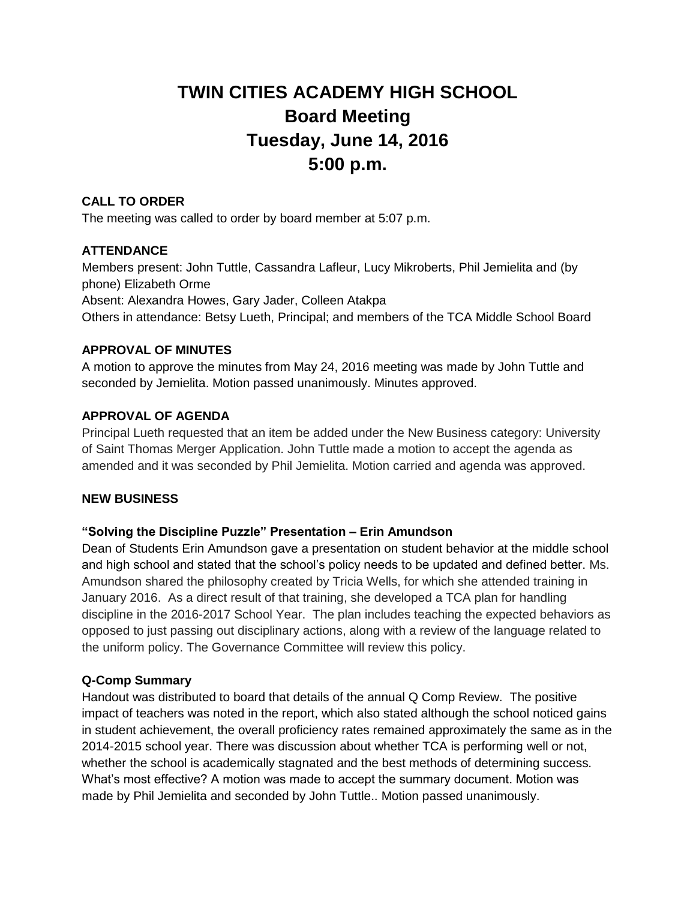# **TWIN CITIES ACADEMY HIGH SCHOOL Board Meeting Tuesday, June 14, 2016 5:00 p.m.**

## **CALL TO ORDER**

The meeting was called to order by board member at 5:07 p.m.

## **ATTENDANCE**

Members present: John Tuttle, Cassandra Lafleur, Lucy Mikroberts, Phil Jemielita and (by phone) Elizabeth Orme Absent: Alexandra Howes, Gary Jader, Colleen Atakpa Others in attendance: Betsy Lueth, Principal; and members of the TCA Middle School Board

# **APPROVAL OF MINUTES**

A motion to approve the minutes from May 24, 2016 meeting was made by John Tuttle and seconded by Jemielita. Motion passed unanimously. Minutes approved.

## **APPROVAL OF AGENDA**

Principal Lueth requested that an item be added under the New Business category: University of Saint Thomas Merger Application. John Tuttle made a motion to accept the agenda as amended and it was seconded by Phil Jemielita. Motion carried and agenda was approved.

#### **NEW BUSINESS**

#### **"Solving the Discipline Puzzle" Presentation – Erin Amundson**

Dean of Students Erin Amundson gave a presentation on student behavior at the middle school and high school and stated that the school's policy needs to be updated and defined better. Ms. Amundson shared the philosophy created by Tricia Wells, for which she attended training in January 2016. As a direct result of that training, she developed a TCA plan for handling discipline in the 2016-2017 School Year. The plan includes teaching the expected behaviors as opposed to just passing out disciplinary actions, along with a review of the language related to the uniform policy. The Governance Committee will review this policy.

#### **Q-Comp Summary**

Handout was distributed to board that details of the annual Q Comp Review. The positive impact of teachers was noted in the report, which also stated although the school noticed gains in student achievement, the overall proficiency rates remained approximately the same as in the 2014-2015 school year. There was discussion about whether TCA is performing well or not, whether the school is academically stagnated and the best methods of determining success. What's most effective? A motion was made to accept the summary document. Motion was made by Phil Jemielita and seconded by John Tuttle.. Motion passed unanimously.